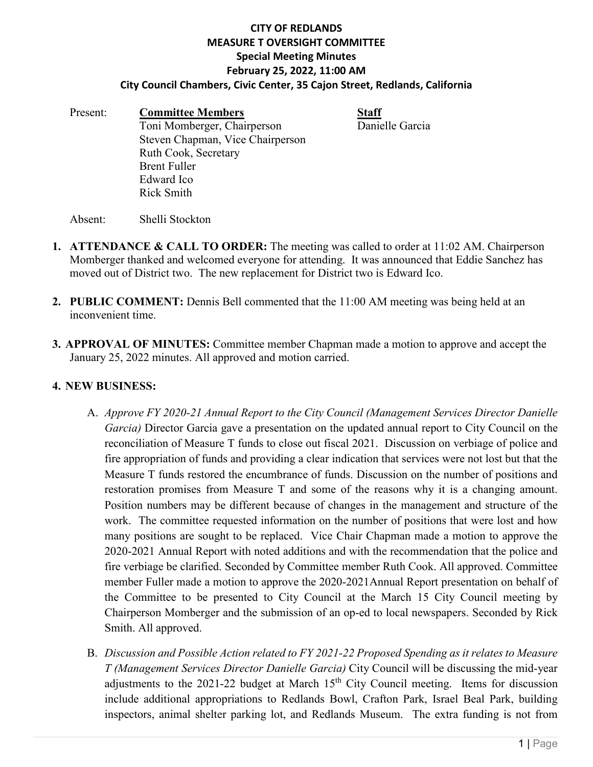## **CITY OF REDLANDS MEASURE T OVERSIGHT COMMITTEE Special Meeting Minutes February 25, 2022, 11:00 AM City Council Chambers, Civic Center, 35 Cajon Street, Redlands, California**

Present: **Committee Members**<br>
Toni Momberger, Chairperson<br>
Danielle Garcia Toni Momberger, Chairperson Steven Chapman, Vice Chairperson Ruth Cook, Secretary Brent Fuller Edward Ico Rick Smith

Absent: Shelli Stockton

- **1. ATTENDANCE & CALL TO ORDER:** The meeting was called to order at 11:02 AM. Chairperson Momberger thanked and welcomed everyone for attending. It was announced that Eddie Sanchez has moved out of District two. The new replacement for District two is Edward Ico.
- **2. PUBLIC COMMENT:** Dennis Bell commented that the 11:00 AM meeting was being held at an inconvenient time.
- **3. APPROVAL OF MINUTES:** Committee member Chapman made a motion to approve and accept the January 25, 2022 minutes. All approved and motion carried.

## **4. NEW BUSINESS:**

- A. *Approve FY 2020-21 Annual Report to the City Council (Management Services Director Danielle Garcia)* Director Garcia gave a presentation on the updated annual report to City Council on the reconciliation of Measure T funds to close out fiscal 2021. Discussion on verbiage of police and fire appropriation of funds and providing a clear indication that services were not lost but that the Measure T funds restored the encumbrance of funds. Discussion on the number of positions and restoration promises from Measure T and some of the reasons why it is a changing amount. Position numbers may be different because of changes in the management and structure of the work. The committee requested information on the number of positions that were lost and how many positions are sought to be replaced. Vice Chair Chapman made a motion to approve the 2020-2021 Annual Report with noted additions and with the recommendation that the police and fire verbiage be clarified. Seconded by Committee member Ruth Cook. All approved. Committee member Fuller made a motion to approve the 2020-2021Annual Report presentation on behalf of the Committee to be presented to City Council at the March 15 City Council meeting by Chairperson Momberger and the submission of an op-ed to local newspapers. Seconded by Rick Smith. All approved.
- B. *Discussion and Possible Action related to FY 2021-22 Proposed Spending as it relates to Measure T (Management Services Director Danielle Garcia)* City Council will be discussing the mid-year adjustments to the 2021-22 budget at March  $15<sup>th</sup>$  City Council meeting. Items for discussion include additional appropriations to Redlands Bowl, Crafton Park, Israel Beal Park, building inspectors, animal shelter parking lot, and Redlands Museum. The extra funding is not from